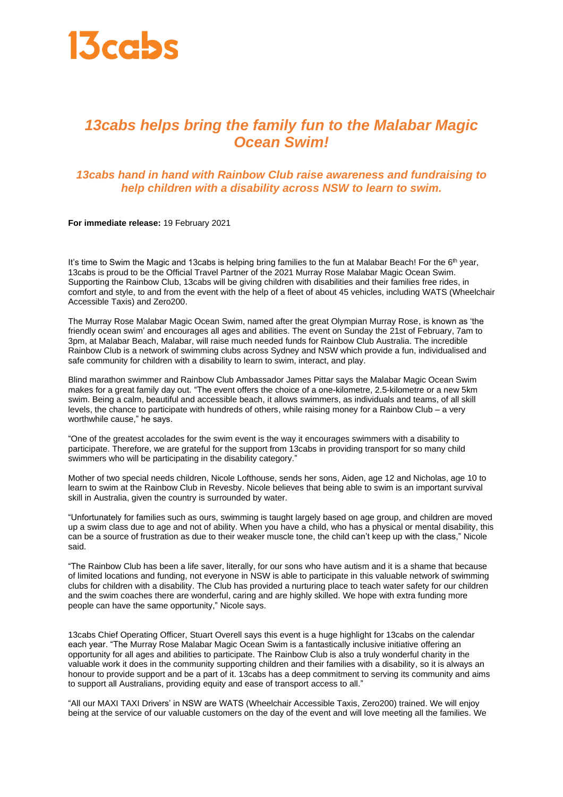

# *13cabs helps bring the family fun to the Malabar Magic Ocean Swim!*

## *13cabs hand in hand with Rainbow Club raise awareness and fundraising to help children with a disability across NSW to learn to swim.*

**For immediate release:** 19 February 2021

It's time to Swim the Magic and 13cabs is helping bring families to the fun at Malabar Beach! For the 6<sup>th</sup> year, 13cabs is proud to be the Official Travel Partner of the 2021 Murray Rose Malabar Magic Ocean Swim. Supporting the Rainbow Club, 13cabs will be giving children with disabilities and their families free rides, in comfort and style, to and from the event with the help of a fleet of about 45 vehicles, including WATS (Wheelchair Accessible Taxis) and Zero200.

The Murray Rose Malabar Magic Ocean Swim, named after the great Olympian Murray Rose, is known as 'the friendly ocean swim' and encourages all ages and abilities. The event on Sunday the 21st of February, 7am to 3pm, at Malabar Beach, Malabar, will raise much needed funds for Rainbow Club Australia. The incredible Rainbow Club is a network of swimming clubs across Sydney and NSW which provide a fun, individualised and safe community for children with a disability to learn to swim, interact, and play.

Blind marathon swimmer and Rainbow Club Ambassador James Pittar says the Malabar Magic Ocean Swim makes for a great family day out. "The event offers the choice of a one-kilometre, 2.5-kilometre or a new 5km swim. Being a calm, beautiful and accessible beach, it allows swimmers, as individuals and teams, of all skill levels, the chance to participate with hundreds of others, while raising money for a Rainbow Club – a very worthwhile cause," he says.

"One of the greatest accolades for the swim event is the way it encourages swimmers with a disability to participate. Therefore, we are grateful for the support from 13cabs in providing transport for so many child swimmers who will be participating in the disability category."

Mother of two special needs children, Nicole Lofthouse, sends her sons, Aiden, age 12 and Nicholas, age 10 to learn to swim at the Rainbow Club in Revesby. Nicole believes that being able to swim is an important survival skill in Australia, given the country is surrounded by water.

"Unfortunately for families such as ours, swimming is taught largely based on age group, and children are moved up a swim class due to age and not of ability. When you have a child, who has a physical or mental disability, this can be a source of frustration as due to their weaker muscle tone, the child can't keep up with the class," Nicole said.

"The Rainbow Club has been a life saver, literally, for our sons who have autism and it is a shame that because of limited locations and funding, not everyone in NSW is able to participate in this valuable network of swimming clubs for children with a disability. The Club has provided a nurturing place to teach water safety for our children and the swim coaches there are wonderful, caring and are highly skilled. We hope with extra funding more people can have the same opportunity," Nicole says.

13cabs Chief Operating Officer, Stuart Overell says this event is a huge highlight for 13cabs on the calendar each year. "The Murray Rose Malabar Magic Ocean Swim is a fantastically inclusive initiative offering an opportunity for all ages and abilities to participate. The Rainbow Club is also a truly wonderful charity in the valuable work it does in the community supporting children and their families with a disability, so it is always an honour to provide support and be a part of it. 13cabs has a deep commitment to serving its community and aims to support all Australians, providing equity and ease of transport access to all."

"All our MAXI TAXI Drivers' in NSW are WATS (Wheelchair Accessible Taxis, Zero200) trained. We will enjoy being at the service of our valuable customers on the day of the event and will love meeting all the families. We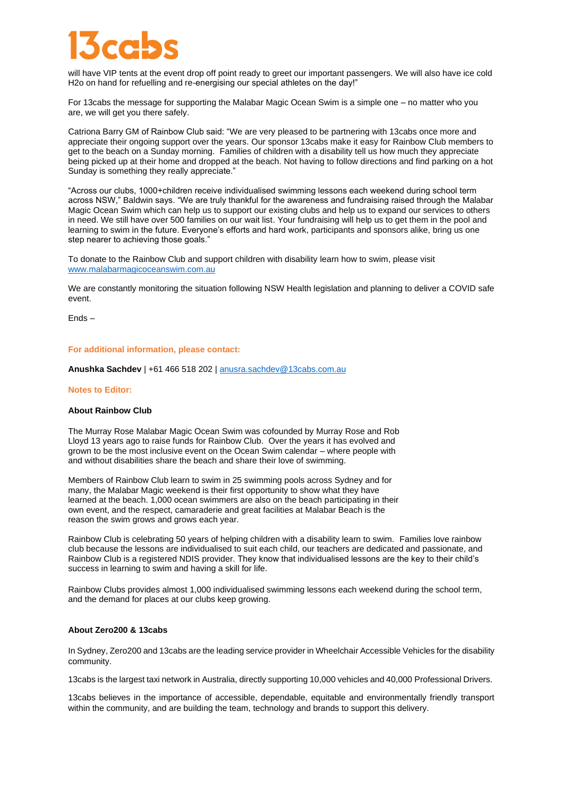will have VIP tents at the event drop off point ready to greet our important passengers. We will also have ice cold H2o on hand for refuelling and re-energising our special athletes on the day!"

For 13cabs the message for supporting the Malabar Magic Ocean Swim is a simple one – no matter who you are, we will get you there safely.

Catriona Barry GM of Rainbow Club said: "We are very pleased to be partnering with 13cabs once more and appreciate their ongoing support over the years. Our sponsor 13cabs make it easy for Rainbow Club members to get to the beach on a Sunday morning. Families of children with a disability tell us how much they appreciate being picked up at their home and dropped at the beach. Not having to follow directions and find parking on a hot Sunday is something they really appreciate."

"Across our clubs, 1000+children receive individualised swimming lessons each weekend during school term across NSW," Baldwin says. "We are truly thankful for the awareness and fundraising raised through the Malabar Magic Ocean Swim which can help us to support our existing clubs and help us to expand our services to others in need. We still have over 500 families on our wait list. Your fundraising will help us to get them in the pool and learning to swim in the future. Everyone's efforts and hard work, participants and sponsors alike, bring us one step nearer to achieving those goals."

To donate to the Rainbow Club and support children with disability learn how to swim, please visit [www.malabarmagicoceanswim.com.au](http://www.malabarmagicoceanswim.com.au/)

We are constantly monitoring the situation following NSW Health legislation and planning to deliver a COVID safe event.

Ends –

#### **For additional information, please contact:**

**Anushka Sachdev** | +61 466 518 202 | [anusra.sachdev@13cabs.com.au](mailto:mylinh.lee@13cabs.com.au)

#### **Notes to Editor:**

#### **About Rainbow Club**

The Murray Rose Malabar Magic Ocean Swim was cofounded by Murray Rose and Rob Lloyd 13 years ago to raise funds for Rainbow Club. Over the years it has evolved and grown to be the most inclusive event on the Ocean Swim calendar – where people with and without disabilities share the beach and share their love of swimming.

Members of Rainbow Club learn to swim in 25 swimming pools across Sydney and for many, the Malabar Magic weekend is their first opportunity to show what they have learned at the beach. 1,000 ocean swimmers are also on the beach participating in their own event, and the respect, camaraderie and great facilities at Malabar Beach is the reason the swim grows and grows each year.

Rainbow Club is celebrating 50 years of helping children with a disability learn to swim. Families love rainbow club because the lessons are individualised to suit each child, our teachers are dedicated and passionate, and Rainbow Club is a registered NDIS provider. They know that individualised lessons are the key to their child's success in learning to swim and having a skill for life.

Rainbow Clubs provides almost 1,000 individualised swimming lessons each weekend during the school term, and the demand for places at our clubs keep growing.

### **About Zero200 & 13cabs**

In Sydney, Zero200 and 13cabs are the leading service provider in Wheelchair Accessible Vehicles for the disability community.

13cabs is the largest taxi network in Australia, directly supporting 10,000 vehicles and 40,000 Professional Drivers.

13cabs believes in the importance of accessible, dependable, equitable and environmentally friendly transport within the community, and are building the team, technology and brands to support this delivery.